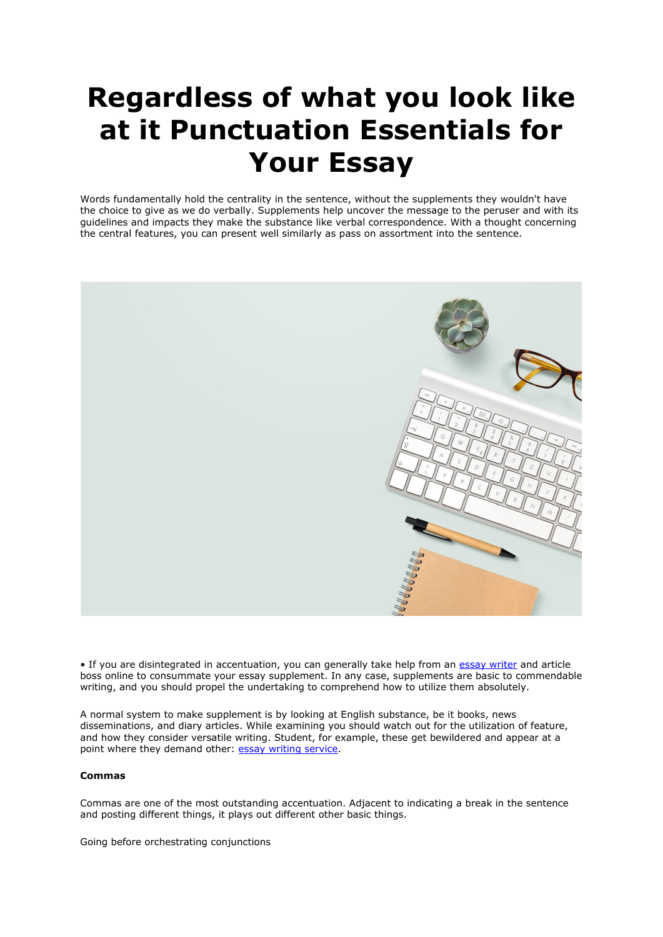# **Regardless of what you look like at it Punctuation Essentials for Your Essay**

Words fundamentally hold the centrality in the sentence, without the supplements they wouldn't have the choice to give as we do verbally. Supplements help uncover the message to the peruser and with its guidelines and impacts they make the substance like verbal correspondence. With a thought concerning the central features, you can present well similarly as pass on assortment into the sentence.



• If you are disintegrated in accentuation, you can generally take help from an [essay writer](https://www.freeessaywriter.net/) and article boss online to consummate your essay supplement. In any case, supplements are basic to commendable writing, and you should propel the undertaking to comprehend how to utilize them absolutely.

A normal system to make supplement is by looking at English substance, be it books, news disseminations, and diary articles. While examining you should watch out for the utilization of feature, and how they consider versatile writing. Student, for example, these get bewildered and appear at a point where they demand other: [essay writing service.](https://www.freeessaywriter.net/)

# **Commas**

Commas are one of the most outstanding accentuation. Adjacent to indicating a break in the sentence and posting different things, it plays out different other basic things.

Going before orchestrating conjunctions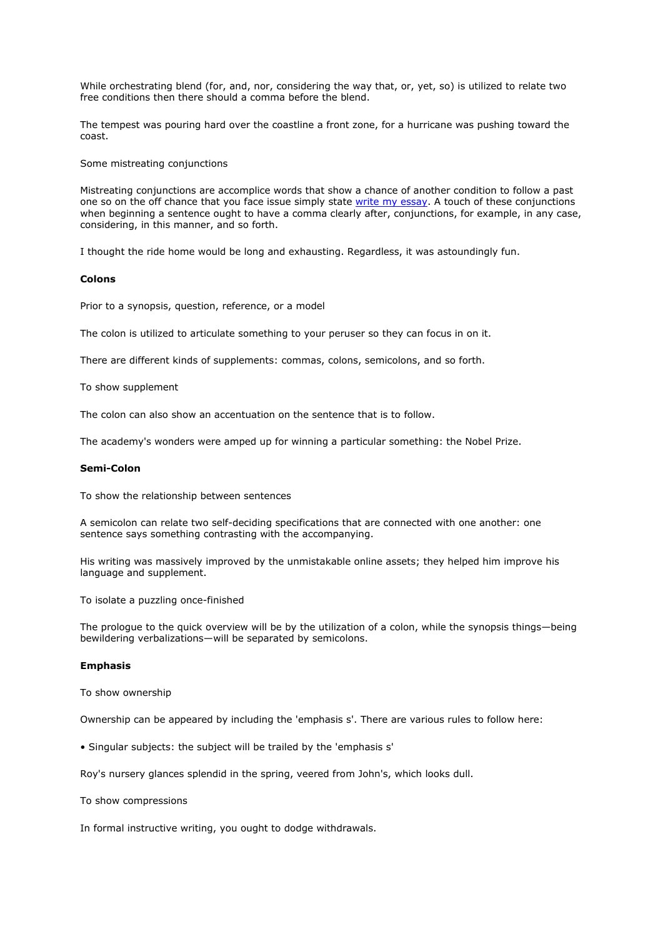While orchestrating blend (for, and, nor, considering the way that, or, yet, so) is utilized to relate two free conditions then there should a comma before the blend.

The tempest was pouring hard over the coastline a front zone, for a hurricane was pushing toward the coast.

Some mistreating conjunctions

Mistreating conjunctions are accomplice words that show a chance of another condition to follow a past one so on the off chance that you face issue simply state [write my essay.](https://www.freeessaywriter.net/) A touch of these conjunctions when beginning a sentence ought to have a comma clearly after, conjunctions, for example, in any case, considering, in this manner, and so forth.

I thought the ride home would be long and exhausting. Regardless, it was astoundingly fun.

# **Colons**

Prior to a synopsis, question, reference, or a model

The colon is utilized to articulate something to your peruser so they can focus in on it.

There are different kinds of supplements: commas, colons, semicolons, and so forth.

To show supplement

The colon can also show an accentuation on the sentence that is to follow.

The academy's wonders were amped up for winning a particular something: the Nobel Prize.

## **Semi-Colon**

To show the relationship between sentences

A semicolon can relate two self-deciding specifications that are connected with one another: one sentence says something contrasting with the accompanying.

His writing was massively improved by the unmistakable online assets; they helped him improve his language and supplement.

To isolate a puzzling once-finished

The prologue to the quick overview will be by the utilization of a colon, while the synopsis things—being bewildering verbalizations—will be separated by semicolons.

## **Emphasis**

To show ownership

Ownership can be appeared by including the 'emphasis s'. There are various rules to follow here:

• Singular subjects: the subject will be trailed by the 'emphasis s'

Roy's nursery glances splendid in the spring, veered from John's, which looks dull.

To show compressions

In formal instructive writing, you ought to dodge withdrawals.